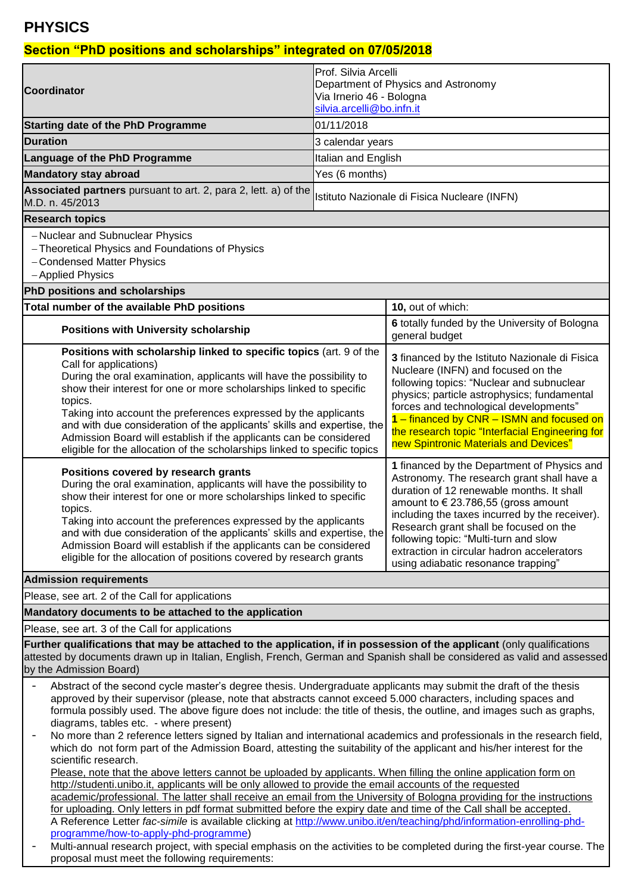# **PHYSICS**

## **Section "PhD positions and scholarships" integrated on 07/05/2018**

|                                                                                                                                                                                                                                                                                                                                                                                                                                                                                                                                                          | <b>IProf. Silvia Arcelli</b><br>Department of Physics and Astronomy                                                                                                                                                                                                                                                                                                                                     |                                                                                                                                                                                                                                                                                                                                                                     |  |  |
|----------------------------------------------------------------------------------------------------------------------------------------------------------------------------------------------------------------------------------------------------------------------------------------------------------------------------------------------------------------------------------------------------------------------------------------------------------------------------------------------------------------------------------------------------------|---------------------------------------------------------------------------------------------------------------------------------------------------------------------------------------------------------------------------------------------------------------------------------------------------------------------------------------------------------------------------------------------------------|---------------------------------------------------------------------------------------------------------------------------------------------------------------------------------------------------------------------------------------------------------------------------------------------------------------------------------------------------------------------|--|--|
| Coordinator                                                                                                                                                                                                                                                                                                                                                                                                                                                                                                                                              | Via Irnerio 46 - Bologna                                                                                                                                                                                                                                                                                                                                                                                |                                                                                                                                                                                                                                                                                                                                                                     |  |  |
| <b>Starting date of the PhD Programme</b>                                                                                                                                                                                                                                                                                                                                                                                                                                                                                                                | silvia.arcelli@bo.infn.it<br>01/11/2018                                                                                                                                                                                                                                                                                                                                                                 |                                                                                                                                                                                                                                                                                                                                                                     |  |  |
| <b>Duration</b>                                                                                                                                                                                                                                                                                                                                                                                                                                                                                                                                          | 3 calendar years                                                                                                                                                                                                                                                                                                                                                                                        |                                                                                                                                                                                                                                                                                                                                                                     |  |  |
| Language of the PhD Programme                                                                                                                                                                                                                                                                                                                                                                                                                                                                                                                            | Italian and English                                                                                                                                                                                                                                                                                                                                                                                     |                                                                                                                                                                                                                                                                                                                                                                     |  |  |
| <b>Mandatory stay abroad</b>                                                                                                                                                                                                                                                                                                                                                                                                                                                                                                                             | Yes (6 months)                                                                                                                                                                                                                                                                                                                                                                                          |                                                                                                                                                                                                                                                                                                                                                                     |  |  |
| Associated partners pursuant to art. 2, para 2, lett. a) of the                                                                                                                                                                                                                                                                                                                                                                                                                                                                                          |                                                                                                                                                                                                                                                                                                                                                                                                         |                                                                                                                                                                                                                                                                                                                                                                     |  |  |
| M.D. n. 45/2013                                                                                                                                                                                                                                                                                                                                                                                                                                                                                                                                          | Istituto Nazionale di Fisica Nucleare (INFN)                                                                                                                                                                                                                                                                                                                                                            |                                                                                                                                                                                                                                                                                                                                                                     |  |  |
| <b>Research topics</b>                                                                                                                                                                                                                                                                                                                                                                                                                                                                                                                                   |                                                                                                                                                                                                                                                                                                                                                                                                         |                                                                                                                                                                                                                                                                                                                                                                     |  |  |
| - Nuclear and Subnuclear Physics<br>- Theoretical Physics and Foundations of Physics<br>- Condensed Matter Physics<br>- Applied Physics                                                                                                                                                                                                                                                                                                                                                                                                                  |                                                                                                                                                                                                                                                                                                                                                                                                         |                                                                                                                                                                                                                                                                                                                                                                     |  |  |
| PhD positions and scholarships                                                                                                                                                                                                                                                                                                                                                                                                                                                                                                                           |                                                                                                                                                                                                                                                                                                                                                                                                         |                                                                                                                                                                                                                                                                                                                                                                     |  |  |
| Total number of the available PhD positions                                                                                                                                                                                                                                                                                                                                                                                                                                                                                                              |                                                                                                                                                                                                                                                                                                                                                                                                         | 10, out of which:                                                                                                                                                                                                                                                                                                                                                   |  |  |
| <b>Positions with University scholarship</b>                                                                                                                                                                                                                                                                                                                                                                                                                                                                                                             |                                                                                                                                                                                                                                                                                                                                                                                                         | 6 totally funded by the University of Bologna<br>general budget                                                                                                                                                                                                                                                                                                     |  |  |
| Positions with scholarship linked to specific topics (art. 9 of the<br>Call for applications)<br>During the oral examination, applicants will have the possibility to<br>show their interest for one or more scholarships linked to specific<br>topics.<br>Taking into account the preferences expressed by the applicants<br>and with due consideration of the applicants' skills and expertise, the<br>Admission Board will establish if the applicants can be considered<br>eligible for the allocation of the scholarships linked to specific topics |                                                                                                                                                                                                                                                                                                                                                                                                         | 3 financed by the Istituto Nazionale di Fisica<br>Nucleare (INFN) and focused on the<br>following topics: "Nuclear and subnuclear<br>physics; particle astrophysics; fundamental<br>forces and technological developments"<br>1 - financed by CNR - ISMN and focused on<br>the research topic "Interfacial Engineering for<br>new Spintronic Materials and Devices" |  |  |
| Positions covered by research grants<br>During the oral examination, applicants will have the possibility to<br>show their interest for one or more scholarships linked to specific<br>topics.<br>Taking into account the preferences expressed by the applicants<br>and with due consideration of the applicants' skills and expertise, the<br>Admission Board will establish if the applicants can be considered<br>eligible for the allocation of positions covered by research grants                                                                | 1 financed by the Department of Physics and<br>Astronomy. The research grant shall have a<br>duration of 12 renewable months. It shall<br>amount to € 23.786,55 (gross amount<br>including the taxes incurred by the receiver).<br>Research grant shall be focused on the<br>following topic: "Multi-turn and slow<br>extraction in circular hadron accelerators<br>using adiabatic resonance trapping" |                                                                                                                                                                                                                                                                                                                                                                     |  |  |
| <b>Admission requirements</b>                                                                                                                                                                                                                                                                                                                                                                                                                                                                                                                            |                                                                                                                                                                                                                                                                                                                                                                                                         |                                                                                                                                                                                                                                                                                                                                                                     |  |  |
| Please, see art. 2 of the Call for applications                                                                                                                                                                                                                                                                                                                                                                                                                                                                                                          |                                                                                                                                                                                                                                                                                                                                                                                                         |                                                                                                                                                                                                                                                                                                                                                                     |  |  |
| Mandatory documents to be attached to the application                                                                                                                                                                                                                                                                                                                                                                                                                                                                                                    |                                                                                                                                                                                                                                                                                                                                                                                                         |                                                                                                                                                                                                                                                                                                                                                                     |  |  |
| Please, see art. 3 of the Call for applications                                                                                                                                                                                                                                                                                                                                                                                                                                                                                                          |                                                                                                                                                                                                                                                                                                                                                                                                         |                                                                                                                                                                                                                                                                                                                                                                     |  |  |
| Further qualifications that may be attached to the application, if in possession of the applicant (only qualifications<br>attested by documents drawn up in Italian, English, French, German and Spanish shall be considered as valid and assessed<br>by the Admission Board)                                                                                                                                                                                                                                                                            |                                                                                                                                                                                                                                                                                                                                                                                                         |                                                                                                                                                                                                                                                                                                                                                                     |  |  |
| Abstract of the second cycle master's degree thesis. Undergraduate applicants may submit the draft of the thesis                                                                                                                                                                                                                                                                                                                                                                                                                                         |                                                                                                                                                                                                                                                                                                                                                                                                         |                                                                                                                                                                                                                                                                                                                                                                     |  |  |
| approved by their supervisor (please, note that abstracts cannot exceed 5.000 characters, including spaces and<br>formula possibly used. The above figure does not include: the title of thesis, the outline, and images such as graphs,<br>diagrams, tables etc. - where present)                                                                                                                                                                                                                                                                       |                                                                                                                                                                                                                                                                                                                                                                                                         |                                                                                                                                                                                                                                                                                                                                                                     |  |  |
| No more than 2 reference letters signed by Italian and international academics and professionals in the research field,<br>$\overline{\phantom{a}}$<br>which do not form part of the Admission Board, attesting the suitability of the applicant and his/her interest for the<br>scientific research.                                                                                                                                                                                                                                                    |                                                                                                                                                                                                                                                                                                                                                                                                         |                                                                                                                                                                                                                                                                                                                                                                     |  |  |
| Please, note that the above letters cannot be uploaded by applicants. When filling the online application form on<br>http://studenti.unibo.it, applicants will be only allowed to provide the email accounts of the requested<br>academic/professional. The latter shall receive an email from the University of Bologna providing for the instructions                                                                                                                                                                                                  |                                                                                                                                                                                                                                                                                                                                                                                                         |                                                                                                                                                                                                                                                                                                                                                                     |  |  |
| for uploading. Only letters in pdf format submitted before the expiry date and time of the Call shall be accepted.<br>A Reference Letter fac-simile is available clicking at http://www.unibo.it/en/teaching/phd/information-enrolling-phd-<br>programme/how-to-apply-phd-programme)                                                                                                                                                                                                                                                                     |                                                                                                                                                                                                                                                                                                                                                                                                         |                                                                                                                                                                                                                                                                                                                                                                     |  |  |
| Multi-annual research project, with special emphasis on the activities to be completed during the first-year course. The<br>proposal must meet the following requirements:                                                                                                                                                                                                                                                                                                                                                                               |                                                                                                                                                                                                                                                                                                                                                                                                         |                                                                                                                                                                                                                                                                                                                                                                     |  |  |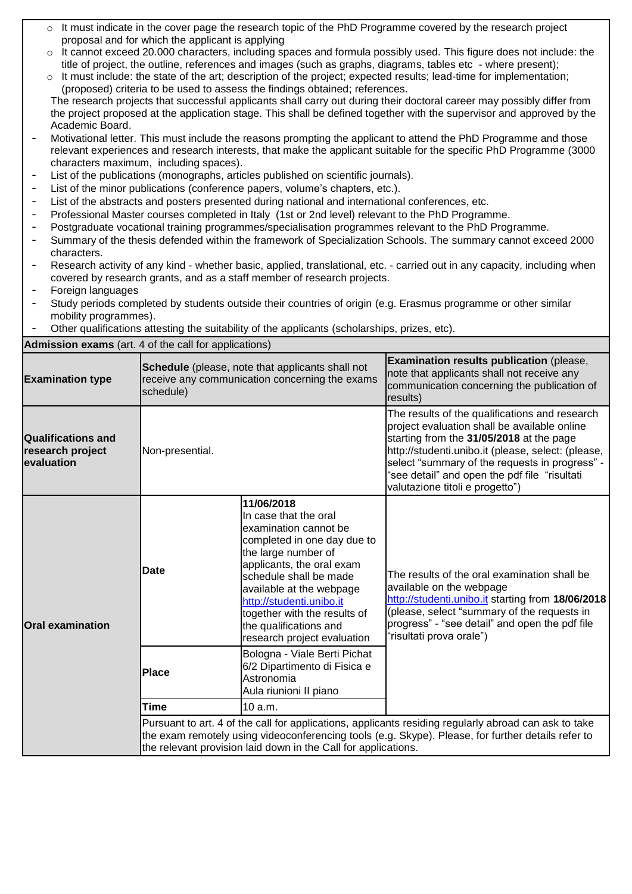- o It must indicate in the cover page the research topic of the PhD Programme covered by the research project proposal and for which the applicant is applying
- o It cannot exceed 20.000 characters, including spaces and formula possibly used. This figure does not include: the title of project, the outline, references and images (such as graphs, diagrams, tables etc - where present);
- $\circ$  It must include: the state of the art; description of the project; expected results; lead-time for implementation; (proposed) criteria to be used to assess the findings obtained; references.

The research projects that successful applicants shall carry out during their doctoral career may possibly differ from the project proposed at the application stage. This shall be defined together with the supervisor and approved by the Academic Board.

- Motivational letter. This must include the reasons prompting the applicant to attend the PhD Programme and those relevant experiences and research interests, that make the applicant suitable for the specific PhD Programme (3000 characters maximum, including spaces).
- List of the publications (monographs, articles published on scientific journals).
- List of the minor publications (conference papers, volume's chapters, etc.).
- List of the abstracts and posters presented during national and international conferences, etc.
- Professional Master courses completed in Italy (1st or 2nd level) relevant to the PhD Programme.
- Postgraduate vocational training programmes/specialisation programmes relevant to the PhD Programme.
- Summary of the thesis defended within the framework of Specialization Schools. The summary cannot exceed 2000 characters.
- Research activity of any kind whether basic, applied, translational, etc. carried out in any capacity, including when covered by research grants, and as a staff member of research projects.
- Foreign languages
- Study periods completed by students outside their countries of origin (e.g. Erasmus programme or other similar mobility programmes).
- Other qualifications attesting the suitability of the applicants (scholarships, prizes, etc).

**Admission exams** (art. 4 of the call for applications)

| <b>Examination type</b>                                                                                                                                                                                                                                                       | <b>Schedule</b> (please, note that applicants shall not<br>receive any communication concerning the exams<br>schedule) |                                                                                                                                                                                                                                                                                                                            | Examination results publication (please,<br>note that applicants shall not receive any<br>communication concerning the publication of<br>results)                                                                                                                                                                                      |
|-------------------------------------------------------------------------------------------------------------------------------------------------------------------------------------------------------------------------------------------------------------------------------|------------------------------------------------------------------------------------------------------------------------|----------------------------------------------------------------------------------------------------------------------------------------------------------------------------------------------------------------------------------------------------------------------------------------------------------------------------|----------------------------------------------------------------------------------------------------------------------------------------------------------------------------------------------------------------------------------------------------------------------------------------------------------------------------------------|
| Qualifications and<br>research project<br><b>evaluation</b>                                                                                                                                                                                                                   | Non-presential.                                                                                                        |                                                                                                                                                                                                                                                                                                                            | The results of the qualifications and research<br>project evaluation shall be available online<br>starting from the 31/05/2018 at the page<br>http://studenti.unibo.it (please, select: (please,<br>select "summary of the requests in progress" -<br>"see detail" and open the pdf file "risultati<br>valutazione titoli e progetto") |
| <b>Oral examination</b>                                                                                                                                                                                                                                                       | Date                                                                                                                   | 11/06/2018<br>In case that the oral<br>examination cannot be<br>completed in one day due to<br>the large number of<br>applicants, the oral exam<br>schedule shall be made<br>available at the webpage<br>http://studenti.unibo.it<br>together with the results of<br>the qualifications and<br>research project evaluation | The results of the oral examination shall be<br>available on the webpage<br>http://studenti.unibo.it starting from 18/06/2018<br>(please, select "summary of the requests in<br>progress" - "see detail" and open the pdf file<br>"risultati prova orale")                                                                             |
|                                                                                                                                                                                                                                                                               | <b>Place</b>                                                                                                           | Bologna - Viale Berti Pichat<br>6/2 Dipartimento di Fisica e<br>Astronomia<br>Aula riunioni II piano                                                                                                                                                                                                                       |                                                                                                                                                                                                                                                                                                                                        |
|                                                                                                                                                                                                                                                                               | <b>Time</b>                                                                                                            | 10 a.m.                                                                                                                                                                                                                                                                                                                    |                                                                                                                                                                                                                                                                                                                                        |
| Pursuant to art. 4 of the call for applications, applicants residing regularly abroad can ask to take<br>the exam remotely using videoconferencing tools (e.g. Skype). Please, for further details refer to<br>the relevant provision laid down in the Call for applications. |                                                                                                                        |                                                                                                                                                                                                                                                                                                                            |                                                                                                                                                                                                                                                                                                                                        |